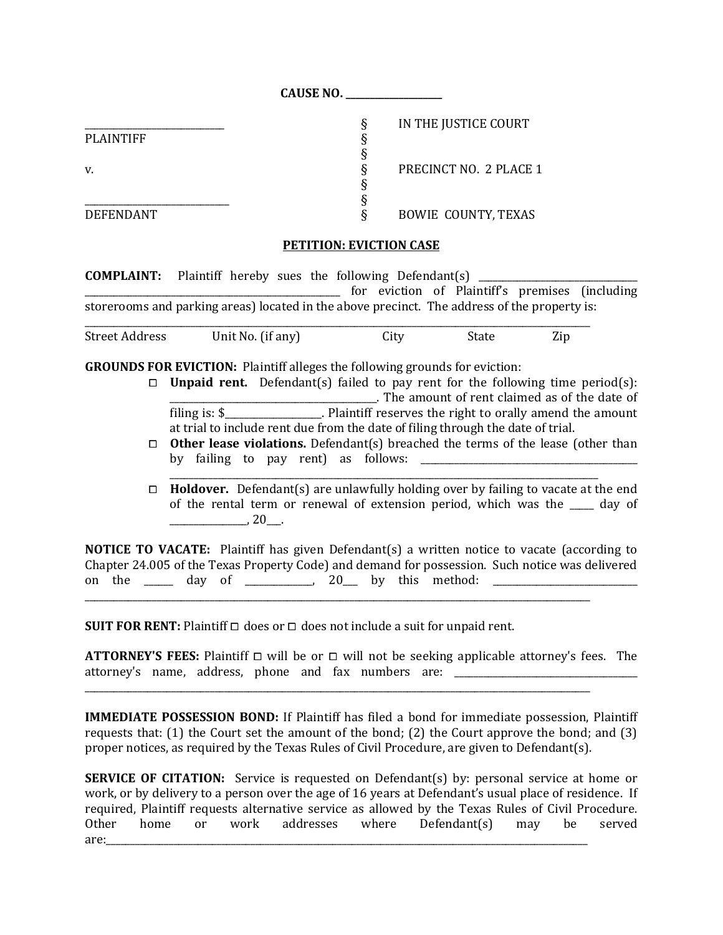|                  | 911999119 |                            |
|------------------|-----------|----------------------------|
|                  |           | IN THE JUSTICE COURT       |
| <b>PLAINTIFF</b> |           |                            |
|                  |           |                            |
| v.               |           | PRECINCT NO. 2 PLACE 1     |
|                  |           |                            |
|                  |           |                            |
| <b>DEFENDANT</b> |           | <b>BOWIE COUNTY, TEXAS</b> |

**CAUSE NO. \_\_\_\_\_\_\_\_\_\_\_\_\_\_\_\_\_\_\_\_**

## **PETITION: EVICTION CASE**

**COMPLAINT:** Plaintiff hereby sues the following Defendant(s) \_\_\_\_\_\_\_\_\_\_\_\_\_\_\_\_\_\_\_\_\_\_\_\_\_\_\_\_\_\_\_\_\_\_\_\_\_\_\_\_\_\_\_\_\_\_\_\_\_\_\_\_\_ for eviction of Plaintiff's premises (including storerooms and parking areas) located in the above precinct. The address of the property is: \_\_\_\_\_\_\_\_\_\_\_\_\_\_\_\_\_\_\_\_\_\_\_\_\_\_\_\_\_\_\_\_\_\_\_\_\_\_\_\_\_\_\_\_\_\_\_\_\_\_\_\_\_\_\_\_\_\_\_\_\_\_\_\_\_\_\_\_\_\_\_\_\_\_\_\_\_\_\_\_\_\_\_\_\_\_\_\_\_\_\_\_\_\_\_\_\_\_\_\_\_\_\_\_\_

Street Address Unit No. (if any) City State Zip

**GROUNDS FOR EVICTION:** Plaintiff alleges the following grounds for eviction:

- $\Box$  **Unpaid rent.** Defendant(s) failed to pay rent for the following time period(s): \_\_\_\_\_\_\_\_\_\_\_\_\_\_\_\_\_\_\_\_\_\_\_\_\_\_\_\_\_\_\_\_\_\_\_\_\_\_\_\_\_\_\_. The amount of rent claimed as of the date of filing is: \$\_\_\_\_\_\_\_\_\_\_\_\_\_\_\_\_\_\_\_\_. Plaintiff reserves the right to orally amend the amount at trial to include rent due from the date of filing through the date of trial.
- **□ Other lease violations.** Defendant(s) breached the terms of the lease (other than by failing to pay rent) as follows: \_\_\_\_\_\_\_\_\_\_\_\_\_\_\_\_\_\_\_\_\_\_\_\_\_\_\_\_\_\_\_\_\_\_\_\_\_\_\_\_\_\_\_\_\_

\_\_\_\_\_\_\_\_\_\_\_\_\_\_\_\_\_\_\_\_\_\_\_\_\_\_\_\_\_\_\_\_\_\_\_\_\_\_\_\_\_\_\_\_\_\_\_\_\_\_\_\_\_\_\_\_\_\_\_\_\_\_\_\_\_\_\_\_\_\_\_\_\_\_\_\_\_\_\_\_\_\_\_\_\_\_\_\_\_

⧠ **Holdover.** Defendant(s) are unlawfully holding over by failing to vacate at the end of the rental term or renewal of extension period, which was the day of  $, 20$ .

**NOTICE TO VACATE:** Plaintiff has given Defendant(s) a written notice to vacate (according to Chapter 24.005 of the Texas Property Code) and demand for possession. Such notice was delivered on the  $\Box$  day of  $\Box$  20 by this method:  $\Box$ 

\_\_\_\_\_\_\_\_\_\_\_\_\_\_\_\_\_\_\_\_\_\_\_\_\_\_\_\_\_\_\_\_\_\_\_\_\_\_\_\_\_\_\_\_\_\_\_\_\_\_\_\_\_\_\_\_\_\_\_\_\_\_\_\_\_\_\_\_\_\_\_\_\_\_\_\_\_\_\_\_\_\_\_\_\_\_\_\_\_\_\_\_\_\_\_\_\_\_\_\_\_\_\_\_\_

\_\_\_\_\_\_\_\_\_\_\_\_\_\_\_\_\_\_\_\_\_\_\_\_\_\_\_\_\_\_\_\_\_\_\_\_\_\_\_\_\_\_\_\_\_\_\_\_\_\_\_\_\_\_\_\_\_\_\_\_\_\_\_\_\_\_\_\_\_\_\_\_\_\_\_\_\_\_\_\_\_\_\_\_\_\_\_\_\_\_\_\_\_\_\_\_\_\_\_\_\_\_\_\_\_

**SUIT FOR RENT:** Plaintiff  $\Box$  does or  $\Box$  does not include a suit for unpaid rent.

**ATTORNEY'S FEES:** Plaintiff  $\Box$  will be or  $\Box$  will not be seeking applicable attorney's fees. The attorney's name, address, phone and fax numbers are: \_\_\_\_\_\_\_\_\_\_\_\_\_\_\_\_\_\_\_\_\_\_\_\_\_\_\_\_

**IMMEDIATE POSSESSION BOND:** If Plaintiff has filed a bond for immediate possession, Plaintiff requests that: (1) the Court set the amount of the bond; (2) the Court approve the bond; and (3) proper notices, as required by the Texas Rules of Civil Procedure, are given to Defendant(s).

**SERVICE OF CITATION:** Service is requested on Defendant(s) by: personal service at home or work, or by delivery to a person over the age of 16 years at Defendant's usual place of residence. If required, Plaintiff requests alternative service as allowed by the Texas Rules of Civil Procedure. Other home or work addresses where Defendant(s) may be served are:\_\_\_\_\_\_\_\_\_\_\_\_\_\_\_\_\_\_\_\_\_\_\_\_\_\_\_\_\_\_\_\_\_\_\_\_\_\_\_\_\_\_\_\_\_\_\_\_\_\_\_\_\_\_\_\_\_\_\_\_\_\_\_\_\_\_\_\_\_\_\_\_\_\_\_\_\_\_\_\_\_\_\_\_\_\_\_\_\_\_\_\_\_\_\_\_\_\_\_\_